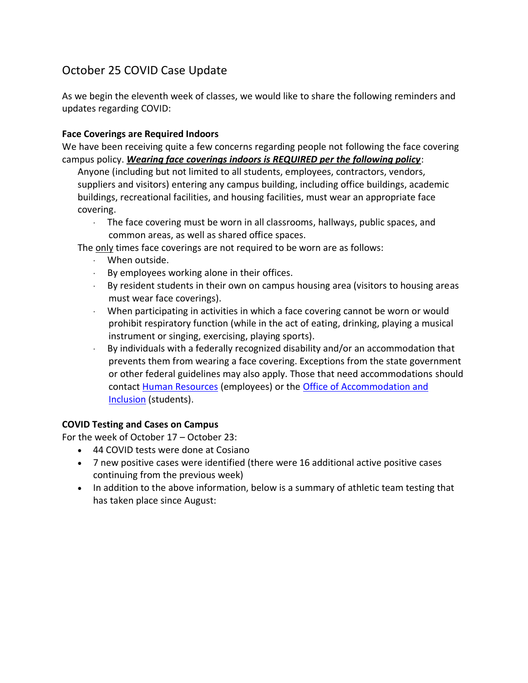# October 25 COVID Case Update

As we begin the eleventh week of classes, we would like to share the following reminders and updates regarding COVID:

#### **Face Coverings are Required Indoors**

We have been receiving quite a few concerns regarding people not following the face covering campus policy. *Wearing face coverings indoors is REQUIRED per the following policy*:

Anyone (including but not limited to all students, employees, contractors, vendors, suppliers and visitors) entering any campus building, including office buildings, academic buildings, recreational facilities, and housing facilities, must wear an appropriate face covering.

· The face covering must be worn in all classrooms, hallways, public spaces, and common areas, as well as shared office spaces.

The only times face coverings are not required to be worn are as follows:

- · When outside.
- $\cdot$  By employees working alone in their offices.
- $\cdot$  By resident students in their own on campus housing area (visitors to housing areas must wear face coverings).
- · When participating in activities in which a face covering cannot be worn or would prohibit respiratory function (while in the act of eating, drinking, playing a musical instrument or singing, exercising, playing sports).
- · By individuals with a federally recognized disability and/or an accommodation that prevents them from wearing a face covering. Exceptions from the state government or other federal guidelines may also apply. Those that need accommodations should contact [Human Resources](https://www.findlay.edu/offices/business-affairs/human-resources) (employees) or the [Office of Accommodation and](https://www.findlay.edu/offices/student-affairs/accommodation-and-inclusion)  [Inclusion](https://www.findlay.edu/offices/student-affairs/accommodation-and-inclusion) (students).

### **COVID Testing and Cases on Campus**

For the week of October 17 – October 23:

- 44 COVID tests were done at Cosiano
- 7 new positive cases were identified (there were 16 additional active positive cases continuing from the previous week)
- In addition to the above information, below is a summary of athletic team testing that has taken place since August: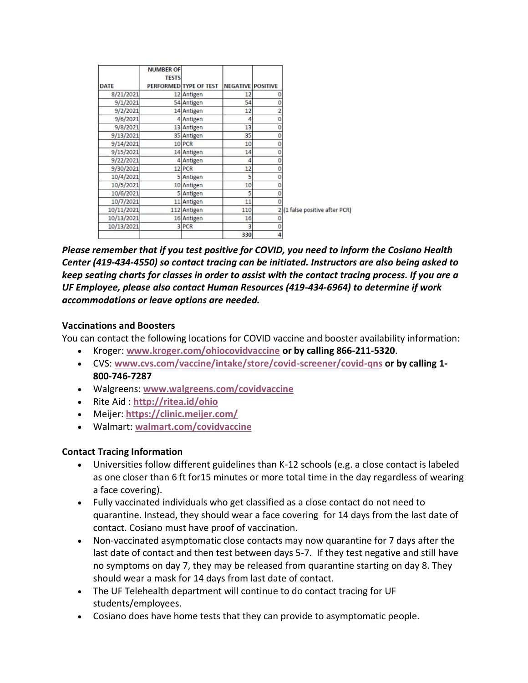| DATE       | <b>NUMBER OF</b><br><b>TESTS</b> | PERFORMED TYPE OF TEST | <b>NEGATIVE POSITIVE</b> |                |                                |
|------------|----------------------------------|------------------------|--------------------------|----------------|--------------------------------|
| 8/21/2021  |                                  | 12 Antigen             | 12                       |                |                                |
| 9/1/2021   |                                  | 54 Antigen             | 54                       | 0              |                                |
| 9/2/2021   |                                  | 14 Antigen             | 12                       | $\overline{c}$ |                                |
| 9/6/2021   |                                  | 4 Antigen              | 4                        | 0              |                                |
| 9/8/2021   |                                  | 13 Antigen             | 13                       | 0              |                                |
| 9/13/2021  |                                  | 35 Antigen             | 35                       | 0              |                                |
| 9/14/2021  |                                  | 10 PCR                 | 10                       | Ö              |                                |
| 9/15/2021  |                                  | 14 Antigen             | 14                       | 0              |                                |
| 9/22/2021  |                                  | 4 Antigen              | 4                        | 0              |                                |
| 9/30/2021  |                                  | 12 PCR                 | 12                       | 0              |                                |
| 10/4/2021  |                                  | 5 Antigen              | 5                        | 0              |                                |
| 10/5/2021  |                                  | 10 Antigen             | 10                       | 0              |                                |
| 10/6/2021  |                                  | 5 Antigen              | 5                        | 0              |                                |
| 10/7/2021  |                                  | 11 Antigen             | 11                       |                |                                |
| 10/11/2021 |                                  | 112 Antigen            | 110                      |                | 2 (1 false positive after PCR) |
| 10/13/2021 |                                  | 16 Antigen             | 16                       |                |                                |
| 10/13/2021 |                                  | 3 PCR                  | 3                        | 0              |                                |
|            |                                  |                        | 330                      |                |                                |

*Please remember that if you test positive for COVID, you need to inform the Cosiano Health Center (419-434-4550) so contact tracing can be initiated. Instructors are also being asked to keep seating charts for classes in order to assist with the contact tracing process. If you are a UF Employee, please also contact Human Resources (419-434-6964) to determine if work accommodations or leave options are needed.*

### **Vaccinations and Boosters**

You can contact the following locations for COVID vaccine and booster availability information:

- Kroger: **[www.kroger.com/ohiocovidvaccine](http://www.kroger.com/ohiocovidvaccine) or by calling 866-211-5320**.
- CVS: **[www.cvs.com/vaccine/intake/store/covid-screener/covid-qns](https://www.cvs.com/vaccine/intake/store/covid-screener/covid-qns) or by calling 1- 800-746-7287**
- Walgreens: **[www.walgreens.com/covidvaccine](https://www.walgreens.com/covidvaccine)**
- Rite Aid : **<http://ritea.id/ohio>**
- Meijer: **<https://clinic.meijer.com/>**
- Walmart: **[walmart.com/covidvaccine](http://walmart.com/covidvaccine)**

## **Contact Tracing Information**

- Universities follow different guidelines than K-12 schools (e.g. a close contact is labeled as one closer than 6 ft for15 minutes or more total time in the day regardless of wearing a face covering).
- Fully vaccinated individuals who get classified as a close contact do not need to quarantine. Instead, they should wear a face covering for 14 days from the last date of contact. Cosiano must have proof of vaccination.
- Non-vaccinated asymptomatic close contacts may now quarantine for 7 days after the last date of contact and then test between days 5-7. If they test negative and still have no symptoms on day 7, they may be released from quarantine starting on day 8. They should wear a mask for 14 days from last date of contact.
- The UF Telehealth department will continue to do contact tracing for UF students/employees.
- Cosiano does have home tests that they can provide to asymptomatic people.